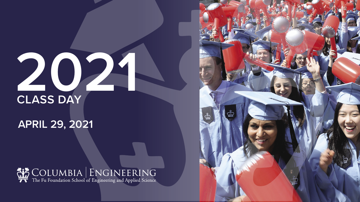**2021**



**CLASS DAY APRIL 29, 2021**

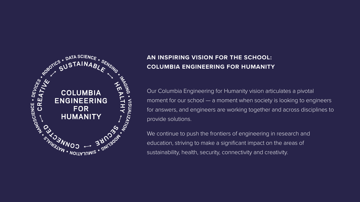

## **AN INSPIRING VISION FOR THE SCHOOL: COLUMBIA ENGINEERING FOR HUMANITY**

- 
- 

Our Columbia Engineering for Humanity vision articulates a pivotal moment for our school — a moment when society is looking to engineers for answers, and engineers are working together and across disciplines to provide solutions.

We continue to push the frontiers of engineering in research and education, striving to make a significant impact on the areas of sustainability, health, security, connectivity and creativity.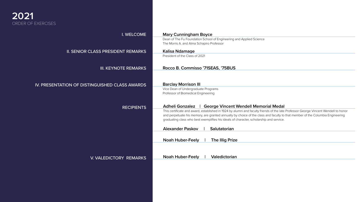#### I. WELCOME

II. SENIOR CLASS PRESIDENT REMARKS

III. KEYNOTE REMARKS

### IV. PRESENTATION OF DISTINGUISHED CLASS AWARDS

RECIPIENTS

V. VALEDICTORY REMARKS

#### **Mary Cunningham Boyce**

Dean of The Fu Foundation School of Engineering and Applied Science The Morris A. and Alma Schapiro Professor

#### **Kalisa Ndamage**

President of the Class of 2021

#### **Barclay Morrison III**

Vice Dean of Undergraduate Programs Professor of Biomedical Engineering

#### **Rocco B. Commisso '71SEAS, '75BUS**

#### **Adheli Gonzalez | George Vincent Wendell Memorial Medal**

This certificate and award, established in 1924 by alumni and faculty friends of the late Professor George Vincent Wendell to honor and perpetuate his memory, are granted annually by choice of the class and faculty to that member of the Columbia Engineering graduating class who best exemplifies his ideals of character, scholarship and service.

#### **Alexander Paskov | Salutatorian**



**Noah Huber-Feely | The Illig Prize**

**Noah Huber-Feely | Valedictorian**

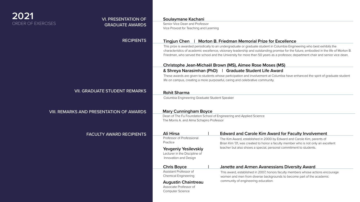### **Soulaymane Kachani**

Senior Vice Dean and Professor Vice Provost for Teaching and Learning

## **2021** ORDER OF EXERCISES

## VI. PRESENTATION OF GRADUATE AWARDS

#### RECIPIENTS

VII. GRADUATE STUDENT REMARKS

## VIII. REMARKS AND PRESENTATION OF AWARDS

FACULTY AWARD RECIPIENTS

### **Tingjun Chen | Morton B. Friedman Memorial Prize for Excellence**

## **Christophe Jean-Michaël Brown (MS), Aimee Rose Moses (MS)**

### **& Shreya Narasimhan (PhD) | Graduate Student Life Award**

### **Rohit Sharma**

Professor of Professional **Practice** 

This prize is awarded periodically to an undergraduate or graduate student in Columbia Engineering who best exhibits the characteristics of academic excellence, visionary leadership and outstanding promise for the future, embodied in the life of Morton B. Friedman, who served the school and the University for more than 50 years as a professor, department chair and senior vice dean.

These awards are given to students whose participation and involvement at Columbia have enhanced the spirit of graduate student life on campus, creating a more purposeful, caring and celebrative community.

Columbia Engineering Graduate Student Speaker

## **Mary Cunningham Boyce**

Dean of The Fu Foundation School of Engineering and Applied Science The Morris A. and Alma Schapiro Professor

**Yevgeniy Yesilevskiy** Lecturer in the Discipline of Innovation and Design

### **Chris Boyce | Janette and Armen Avanessians Diversity Award**

Assistant Professor of Chemical Engineering

#### **Augustin Chaintreau**

### Ali Hirsa **No. 2018 18 Hirsa Inc. 2018 18 Hirsa** Edward and Carole Kim Award for Faculty Involvement

Associate Professor of Computer Science

The Kim Award, established in 2000 by Edward and Carole Kim, parents of Brian Kim '01, was created to honor a faculty member who is not only an excellent teacher but also shows a special, personal commitment to students.

This award, established in 2007, honors faculty members whose actions encourage women and men from diverse backgrounds to become part of the academic community of engineering education.

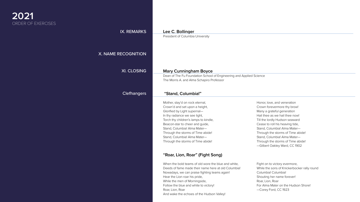## **2021** ORDER OF EXERCISES

### IX. REMARKS

#### X. NAME RECOGNITION

#### XI. CLOSING

#### Clefhangers

# **Lee C. Bollinger**

President of Columbia University

#### **"Stand, Columbia!"**

Mother, stay'd on rock eternal, Crown'd and set upon a height, Glorified by Light supernal— In thy radiance we see light, Torch thy children's lamps to kindle, Beacon-star to cheer and guide, Stand, Columbia! Alma Mater— Through the storms of Time abide! Stand, Columbia! Alma Mater— Through the storms of Time abide!

Honor, love, and veneration Crown forevermore thy brow! Many a grateful generation Hail thee as we hail thee now! Till the lordly Hudson seaward Cease to roll his heaving tide, Stand, Columbia! Alma Mater— Through the storms of Time abide! Stand, Columbia! Alma Mater— Through the storms of Time abide! —Gilbert Oakley Ward, CC 1902

#### **Mary Cunningham Boyce**

Dean of The Fu Foundation School of Engineering and Applied Science The Morris A. and Alma Schapiro Professor

## **"Roar, Lion, Roar" (Fight Song)**

When the bold teams of old wore the blue and white, Deeds of fame made their name here at old Columbia! Nowadays, we can praise fighting teams again! Hear the Lion roar his pride, While the men of Morningside, Follow the blue and white to victory! Roar, Lion, Roar And wake the echoes of the Hudson Valley!

Fight on to victory evermore, While the sons of Knickerbocker rally round Columbia! Columbia! Shouting her name forever! Roar, Lion, Roar For Alma Mater on the Hudson Shore! —Corey Ford, CC 1923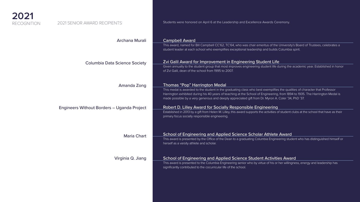

#### Archana Murali

Columbia Data Science Society

Amanda Zong

Engineers Without Borders – Uganda Project

Maria Chart

Virginia Q. Jiang

### 2021 SENIOR AWARD RECIPIENTS

This award, named for Bill Campbell CC'62, TC'64, who was chair emeritus of the University's Board of Trustees, celebrates a student leader at each school who exemplifies exceptional leadership and builds Columbia spirit.

### Zvi Galil Award for Improvement in Engineering Student Life

Given annually to the student group that most improves engineering student life during the academic year. Established in honor of Zvi Galil, dean of the school from 1995 to 2007.

#### Thomas "Pop" Harrington Medal

This medal is awarded to the student in the graduating class who best exemplifies the qualities of character that Professor Harrington exhibited during his 40 years of teaching at the School of Engineering, from 1894 to 1935. The Harrington Medal is made possible by a very generous and deeply appreciated gift from Dr. Myron A. Coler '34, PhD '37.

#### Robert D. Lilley Award for Socially Responsible Engineering

Established in 2013 by a gift from Helen M. Lilley, this award supports the activities of student clubs at the school that have as their primary focus socially responsible engineering.

#### School of Engineering and Applied Science Scholar Athlete Award

This award is presented by the Office of the Dean to a graduating Columbia Engineering student who has distinguished himself or herself as a varsity athlete and scholar.

#### School of Engineering and Applied Science Student Activities Award

This award is presented to the Columbia Engineering senior who by virtue of his or her willingness, energy and leadership has significantly contributed to the cocurricular life of the school.

Students were honored on April 6 at the Leadership and Excellence Awards Ceremony.

### **Campbell Award**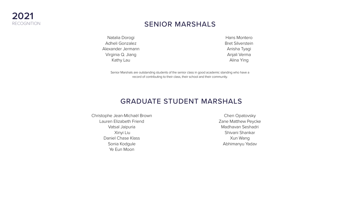## SENIOR MARSHALS

# GRADUATE STUDENT MARSHALS

Senior Marshals are outstanding students of the senior class in good academic standing who have a record of contributing to their class, their school and their community.



Natalia Dorogi Adheli Gonzalez Alexander Jermann Virginia Q. Jiang Kathy Lau

Hans Montero Bret Silverstein Anisha Tyagi Anjali Verma Alina Ying

Christophe Jean-Michaël Brown Lauren Elizabeth Friend Vatsal Jaipuria Xinyi Liu Daniel Chase Klass Sonia Kodgule Ye Eun Moon

Chen Opatovsky Zane Matthew Peycke Madhavan Seshadri Shivani Shankar Xun Wang Abhimanyu Yadav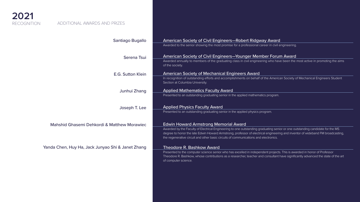

#### Santiago Bugallo

Serena Tsui E.G. Sutton Klein

Junhui Zhang

Joseph T. Lee

### Mahshid Ghasemi Dehkordi & Matthew Morawiec

### Yanda Chen, Huy Ha, Jack Junyao Shi & Janet Zhang

#### ADDITIONAL AWARDS AND PRIZES

### American Society of Civil Engineers—Robert Ridgway Award

Awarded to the senior showing the most promise for a professional career in civil engineering.

In recognition of outstanding efforts and accomplishments on behalf of the American Society of Mechanical Engineers Student Section at Columbia University.

American Society of Civil Engineers—Younger Member Forum Award Awarded annually to members of the graduating class in civil engineering who have been the most active in promoting the aims of the society.

#### American Society of Mechanical Engineers Award

#### Applied Mathematics Faculty Award

Presented to an outstanding graduating senior in the applied mathematics program.

Applied Physics Faculty Award Presented to an outstanding graduating senior in the applied physics program.

#### Edwin Howard Armstrong Memorial Award

Awarded by the Faculty of Electrical Engineering to one outstanding graduating senior or one outstanding candidate for the MS degree to honor the late Edwin Howard Armstrong, professor of electrical engineering and inventor of wideband FM broadcasting, the regenerative circuit and other basic circuits of communications and electronics.

#### Theodore R. Bashkow Award





Presented to the computer science senior who has excelled in independent projects. This is awarded in honor of Professor Theodore R. Bashkow, whose contributions as a researcher, teacher and consultant have significantly advanced the state of the art of computer science.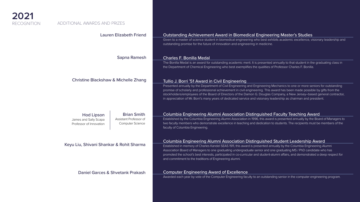

### Lauren Elizabeth Friend

Sapna Ramesh

Christine Blackshaw & Michelle Zhang

Keyu Liu, Shivani Shankar & Rohit Sharma

Daniel Garces & Shvetank Prakash

Given to a master of science student in biomedical engineering who best exhibits academic excellence, visionary leadership and outstanding promise for the future of innovation and engineering in medicine.

#### Charles F. Bonilla Medal

The Bonilla Medal is an award for outstanding academic merit. It is presented annually to that student in the graduating class in the Department of Chemical Engineering who best exemplifies the qualities of Professor Charles F. Bonilla.

Tullio J. Borri '51 Award in Civil Engineering Presented annually by the Department of Civil Engineering and Engineering Mechanics to one or more seniors for outstanding promise of scholarly and professional achievement in civil engineering. This award has been made possible by gifts from the stockholders/employees of the Board of Directors of the Damon G. Douglas Company, a New Jersey–based general contractor, in appreciation of Mr. Borri's many years of dedicated service and visionary leadership as chairman and president.

#### Columbia Engineering Alumni Association Distinguished Faculty Teaching Award

Established by the Columbia Engineering Alumni Association in 1996, this award is presented annually by the Board of Managers to two faculty members who demonstrate excellence in teaching and dedication to students. The recipients must be members of the faculty of Columbia Engineering.

#### Columbia Engineering Alumni Association Distinguished Student Leadership Award

Established in memory of Charles Kandel SEAS 1911, this award is presented annually by the Columbia Engineering Alumni Association Board of Managers to one graduating undergraduate senior and one graduating MS / PhD candidate who has promoted the school's best interests, participated in co-curricular and student-alumni affairs, and demonstrated a deep respect for and commitment to the traditions of Engineering alumni.

#### Computer Engineering Award of Excellence

Awarded each year by vote of the Computer Engineering faculty to an outstanding senior in the computer engineering program.



Brian Smith

Assistant Professor of Computer Science

## Hod Lipson

James and Sally Scapa

Professor of Innovation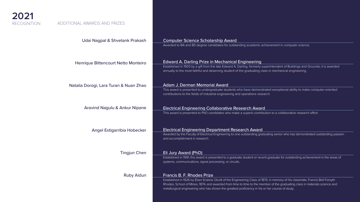

### Udai Nagpal & Shvetank Prakash

Henrique Bittencourt Netto Monteiro

Natalia Dorogi, Lara Turan & Nuan Zhao

Aravind Nagulu & Ankur Nipane

Angel Estigarribia Hobecker

Tingjun Chen

Ruby Aidun

#### Computer Science Scholarship Award

Awarded to BA and BS degree candidates for outstanding academic achievement in computer science.

#### Edward A. Darling Prize in Mechanical Engineering

Established in 1903 by a gift from the late Edward A. Darling, formerly superintendent of Buildings and Grounds; it is awarded annually to the most faithful and deserving student of the graduating class in mechanical engineering.

#### Adam J. Derman Memorial Award

This award is presented to undergraduate students who have demonstrated exceptional ability to make computer-oriented contributions to the fields of industrial engineering and operations research.

#### Electrical Engineering Department Research Award

Awarded by the Faculty of Electrical Engineering to one outstanding graduating senior who has demonstrated outstanding passion and accomplishment in research.

#### Eli Jury Award (PhD)

Established in 1991, this award is presented to a graduate student or recent graduate for outstanding achievement in the areas of systems, communications, signal processing, or circuits.





Francis B. F. Rhodes Prize Established in 1926 by Eben Erskine Olcott of the Engineering Class of 1874, in memory of his classmate, Francis Bell Forsyth Rhodes, School of Mines, 1874, and awarded from time to time to the member of the graduating class in materials science and metallurgical engineering who has shown the greatest proficiency in his or her course of study.

### ADDITIONAL AWARDS AND PRIZES

#### Electrical Engineering Collaborative Research Award

This award is presented to PhD candidates who make a superb contribution to a collaborative research effort.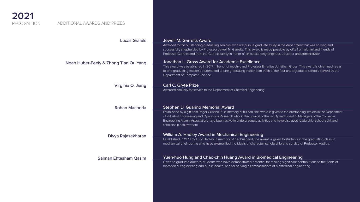

#### Lucas Grafals

Noah Huber-Feely & Zhong Tian Ou Yang

Virginia Q. Jiang

Rohan Macherla

Divya Rajasekharan

Salman Ehtesham Qasim

#### Jewell M. Garrelts Award

Awarded to the outstanding graduating senior(s) who will pursue graduate study in the department that was so long and successfully shepherded by Professor Jewell M. Garrelts. This award is made possible by gifts from alumni and friends of Professor Garrelts and from the Garrelts family in honor of an outstanding engineer, educator and administrator.

#### Jonathan L. Gross Award for Academic Excellence

This award was established in 2017 in honor of much-loved Professor Emeritus Jonathan Gross. This award is given each year to one graduating master's student and to one graduating senior from each of the four undergraduate schools served by the Department of Computer Science.

#### Carl C. Gryte Prize

Awarded annually for service to the Department of Chemical Engineering.

#### Stephen D. Guarino Memorial Award

Established by a gift from Roger Guarino '51 in memory of his son, the award is given to the outstanding seniors in the Department of Industrial Engineering and Operations Research who, in the opinion of the faculty and Board of Managers of the Columbia Engineering Alumni Association, have been active in undergraduate activities and have displayed leadership, school spirit and scholarship achievement.

#### William A. Hadley Award in Mechanical Engineering

Established in 1973 by Lucy Hadley in memory of her husband, the award is given to students in the graduating class in mechanical engineering who have exemplified the ideals of character, scholarship and service of Professor Hadley.





Yuen-huo Hung and Chao-chin Huang Award in Biomedical Engineering Given to graduate doctoral students who have demonstrated potential for making significant contributions to the fields of biomedical engineering and public health, and for serving as ambassadors of biomedical engineering.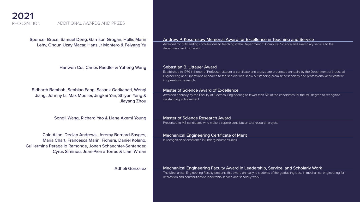**2021**

RECOGNITION



Lehv, Ongun Uzay Macar, Hans Jr Montero & Feiyang Yu

Hanwen Cui, Carlos Raedler & Yuheng Wang

Sidharth Bambah, Senbiao Fang, Sasank Garikapati, Wenqi Jiang, Johnny Li, Max Moeller, Jingkai Yan, Shiyun Yang & Jiayang Zhou

Songli Wang, Richard Yao & Liane Akemi Young

Awarded for outstanding contributions to teaching in the Department of Computer Science and exemplary service to the department and its mission.

Cole Allan, Declan Andrews, Jeremy Bernard-Sasges, Maria Chart, Francesca Marini Fichera, Daniel Kolano, Guillermina Peragallo Ramonde, Jonah Schaechter-Santander, Cyrus Siminou, Jean-Pierre Torras & Liam Wrean

Adheli Gonzalez

### Andrew P. Kosoresow Memorial Award for Excellence in Teaching and Service

#### Sebastian B. Littauer Award

Established in 1979 in honor of Professor Littauer, a certificate and a prize are presented annually by the Department of Industrial Engineering and Operations Research to the seniors who show outstanding promise of scholarly and professional achievement in operations research.

#### Master of Science Award of Excellence

Awarded annually by the Faculty of Electrical Engineering to fewer than 5% of the candidates for the MS degree to recognize outstanding achievement.

#### Master of Science Research Award

Presented to MS candidates who make a superb contribution to a research project.

#### Mechanical Engineering Certificate of Merit

In recognition of excellence in undergraduate studies.

Mechanical Engineering Faculty Award in Leadership, Service, and Scholarly Work The Mechanical Engineering Faculty presents this award annually to students of the graduating class in mechanical engineering for dedication and contributions to leadership service and scholarly work.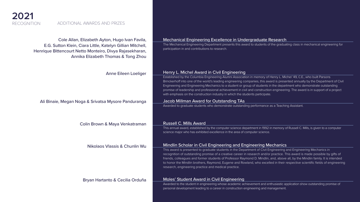

Cole Allan, Elizabeth Ayton, Hugo Ivan Favila, E.G. Sutton Klein, Ciara Little, Katelyn Gillian Mitchell, Henrique Bittencourt Netto Monteiro, Divya Rajasekharan, Annika Elizabeth Thomas & Tong Zhou

Anne Eileen Loeliger

Ali Binaie, Megan Noga & Srivatsa Mysore Panduranga

Colin Brown & Maya Venkatraman

Nikolaos Vlassis & Chunlin Wu

Bryan Hartanto & Cecilia Orduña

#### Mechanical Engineering Excellence in Undergraduate Research

The Mechanical Engineering Department presents this award to students of the graduating class in mechanical engineering for participation in and contributions to research.

#### Henry L. Michel Award in Civil Engineering

This annual award, established by the computer science department in 1992 in memory of Russell C. Mills, is given to a computer science major who has exhibited excellence in the area of computer science.

Established by the Columbia Engineering Alumni Association in memory of Henry L. Michel '49, C.E., who built Parsons Brinckerhoff into one of the world's leading engineering companies, this award is presented annually by the Department of Civil Engineering and Engineering Mechanics to a student or group of students in the department who demonstrate outstanding promise of leadership and professional achievement in civil and construction engineering. The award is in support of a project with emphasis on the construction industry in which the students participate.

This award is presented to graduate students in the Department of Civil Engineering and Engineering Mechanics in recognition of outstanding promise of a creative career in research and/or practice. This award is made possible by gifts of friends, colleagues and former students of Professor Raymond D. Mindlin, and, above all, by the Mindlin family. It is intended to honor the Mindlin brothers, Raymond, Eugene and Rowland, who excelled in their respective scientific fields of engineering

#### Jacob Millman Award for Outstanding TAs

Awarded to graduate students who demonstrate outstanding performance as a Teaching Assistant.

#### Russell C. Mills Award

### Mindlin Scholar in Civil Engineering and Engineering Mechanics

research, engineering practice and medical practice.

#### Moles' Student Award in Civil Engineering

Awarded to the student in engineering whose academic achievement and enthusiastic application show outstanding promise of personal development leading to a career in construction engineering and management.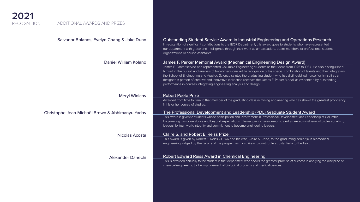

## Salvador Bolanos, Evelyn Chang & Jake Dunn

Daniel William Kolano

Meryl Winicov

## Christophe Jean-Michaël Brown & Abhimanyu Yadav

Nicolas Acosta

Alexander Danechi

## Outstanding Student Service Award in Industrial Engineering and Operations Research

In recognition of significant contributions to the IEOR Department, this award goes to students who have represented our department with grace and intelligence through their work as ambassadors, board members of professional student organizations or course assistants.

## James F. Parker Memorial Award (Mechanical Engineering Design Award)

James F. Parker served and represented Columbia Engineering students as their dean from 1975 to 1984. He also distinguished himself in the pursuit and analysis of two-dimensional art. In recognition of his special combination of talents and their integration, the School of Engineering and Applied Science salutes the graduating student who has distinguished herself or himself as a designer. A person of creative and innovative inclination receives the James F. Parker Medal, as evidenced by outstanding performance in courses integrating engineering analysis and design.

## Robert Peele Prize

Awarded from time to time to that member of the graduating class in mining engineering who has shown the greatest proficiency in his or her course of studies.

## The Professional Development and Leadership (PDL) Graduate Student Award

This award is given to students whose participation and involvement in Professional Development and Leadership at Columbia Engineering has gone above and beyond expectations. The recipients have demonstrated an exceptional level of professionalism, leadership, teamwork, integrity and commitment to become engineering leaders.

Claire S. and Robert E. Reiss Prize This award is given by Robert E. Reiss CC '66 and his wife, Claire S. Reiss, to the graduating senior(s) in biomedical engineering judged by the faculty of the program as most likely to contribute substantially to the field.

### Robert Edward Reiss Award in Chemical Engineering





This is awarded annually to the student in that department who shows the greatest promise of success in applying the discipline of chemical engineering to the improvement of biological products and medical devices.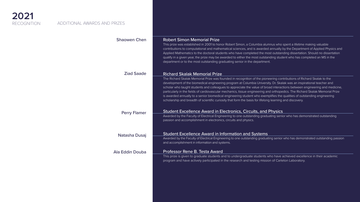

#### Shaowen Chen

#### Ziad Saade

#### Perry Flamer

Natasha Dusaj

Ala Eddin Douba

#### Robert Simon Memorial Prize

This prize was established in 2001 to honor Robert Simon, a Columbia alumnus who spent a lifetime making valuable contributions to computational and mathematical sciences, and is awarded annually by the Department of Applied Physics and Applied Mathematics to the doctoral students who have completed the most outstanding dissertation. Should no dissertation qualify in a given year, the prize may be awarded to either the most outstanding student who has completed an MS in the department or to the most outstanding graduating senior in the department.

#### Richard Skalak Memorial Prize

The Richard Skalak Memorial Prize was founded in recognition of the pioneering contributions of Richard Skalak to the development of the biomedical engineering program at Columbia University. Dr. Skalak was an inspirational teacher and scholar who taught students and colleagues to appreciate the value of broad interactions between engineering and medicine, particularly in the fields of cardiovascular mechanics, tissue engineering and orthopedics. The Richard Skalak Memorial Prize is awarded annually to a senior biomedical engineering student who exemplifies the qualities of outstanding engineering scholarship and breadth of scientific curiosity that form the basis for lifelong learning and discovery.

#### Student Excellence Award in Electronics, Circuits, and Physics

Awarded by the Faculty of Electrical Engineering to one outstanding graduating senior who has demonstrated outstanding passion and accomplishment in electronics, circuits and physics.

#### Student Excellence Award in Information and Systems

Awarded by the Faculty of Electrical Engineering to one outstanding graduating senior who has demonstrated outstanding passion and accomplishment in information and systems.

#### Professor Rene B. Testa Award

This prize is given to graduate students and to undergraduate students who have achieved excellence in their academic program and have actively participated in the research and testing mission of Carleton Laboratory.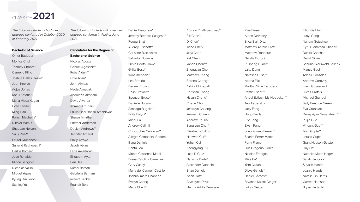*The following students had their degrees conferred in October 2020 or February 2021.*

#### Bachelor of Science

Omer Baddour Monica Choi Tanmay Chopra\* Carneiro Filho Joshua Dallas Hazlett Joon-hee Jo Adjua Jones Rahul Kataria\* Maria Vlada Kogan Evan Lander Ming Liao Rohan Macherla\* Nikolai Mamut Shaquan Nelson Su Ji Park\*\* Laurel Quinones\* Sunand Raghupathi\* Carlos Romero Jose Ronaldo Midori Sangiolo Nicholas Vallin Miguel Yepes Kyung Duk Yoon Stanley Yu

*The following students will have their degrees conferred in April or June 2021.*

**Candidates for the Degree of Bachelor of Science** Nicolas Acosta Gabriel Agostini\*\*\* Ruby Aidun\*\* Cole Allan\* John Almazan Nadia Almutlak Abdulaziz Altohami David Alvarez Ahmed Alzubairi Phillip Osei Bonsu Amankwaa Shawn Amirthan Shemar Anderson Declan Andrews\*\* Jennifer Arnaud Emily Arroyo Jacob Atkins Lana Awadallah Elizabeth Ayton Ben Bae Rafael Barcan Gabriella Barham Robert Becker Rounak Bera

Daniel Bergstein\* Jeremy Bernard-Sasges\*\*\* Roopa Bhat Audrey Bischoff\*\* Christine Blackshaw Salvador Bolanos Olivia Booth-Howe Gitika Bose\* Willa Brenneis\* Lea Broudo Bennet Brown Colin Brown\*\*\* Spencer Bruce\* Danielle Bufano Santiago Bugallo\*\* Edita Bytyqi\* Minqi Cai Andrew Calimlim Christopher Calloway\*\* Allegra Campanini-Bonomi Iliana Daniela Cantu Leal Monte Cardenas-Metal Diana Carolina Carranza Gary Casey Maria del Carmen Castillo Joshua Imara Chabeda Evelyn Chang Maria Chart\*

Aurnov Chattopadhyay\*\* Bill Chen\*\* Di Chen\* Jiahe Chen Jiayi Chen Kat Chen Yanda Chen\*\*\* Zhongtian Chen Matthew Cheng Serena Cheng\*\* Akhila Chinepalli Christian Chong Hayun Chong\* Cherie Chu Jessalyn Chuang Kenneth Chuen Andrew Chuka Sang Jun Chun\* Elizabeth Collins Hanwen Cui\*\*\* Yuhan Cui Zhengyang Cui Luke D'Cruz Natasha Dada\* Alexander Danechi Brian Daniels Ishan Datt\* Aryn Lynn Davis Herma Addis Demissie

Riya Desai Aiden Devaney Erica Blair Diaz Matthew Antolin Diaz Matthew Donahue Natalia Dorogi Rusheng Duan\*\* Jake Dunn Natasha Dusaj\*\* Ivanna Elkik Martha Alicia Escobedo Remin Esen\*\*\* Angel Estigarribia Hobecker\*\* Taia Fagerstrom Jacy Fang Hugo Favila Eric Feng Ziyan Feng Joao Romeu Ferraz\*\* Scarlet Ferrer Martin Perry Flamer Luis Gregorio Flores Nikolas Frangos Mike Fu\* Yefri Gaitan Divya Gandla\* Daniel Garces\*\* Bryanna Kalani Geiger Lukas Geiger

Elliot Gelbtuch Junyi Geng Nahum Getachew Cyrus Jonathan Ghaderi Dahlia Ghoshal David Giliver Sabrina Gjerswold-Selleck Manav Goel Adheli Gonzalez Andrew Gorovoy Imani Gosserand Lucas Grafals Michael Grandel Sally Beatrice Green Eva Grunblatt Davepriyan Gunaratnam\*\*\* Ruijia Guo Vincent Guo\*\* Abhi Gupta\*\* Jetasri Gupta Grant Hudson Gutstein Huy Ha\* Nathalie Marie Hager Sarah Hancock Suyash Handa Jeanie Handal Natalie Lin Harris Garrett Harrison\*\* Bryan Hartanto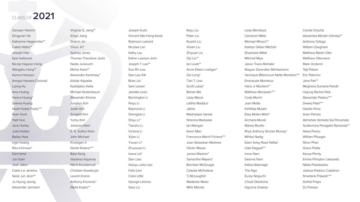Zamaan Hashmi Dingyuan He Katherine Hegermiller\*\* Caleb Hibbs\*\* Joseph Hier Kyla Holbrook Nicole Hayeon Hong Wangshu Hong\*\* Kamrul Hossain Amaya Howard-Carswell Liping Hu Amy Huang Hanrui Huang\* Selena Huang Noah Huber-Feely\*\*\* Ryan Hunt Yadi Huo Jack Hurley Julia Hutsko Bailey Hwa Ingil Hwang Rika Ichinose\* Dani Isma Jon Itzler Josh Jaton Claire Lin Jenkins Seok Jun Jeon\*\* Ju Hyung Jeong Alexander Jermann

Virginia Q. Jiang\*\* Xinye Jiang Sharon Jin Yinuo Jin\* Sydney Jones Thomas Theodore Joshi Nadia Jurkovich Mohar Kalra\*\* Alexander Kaminsky\* Alistair Kapadia Kadidjatou Keita Michael Kestenbaum Alexander Khoma Jungkyu Kim Justin Kim Sungbin Kim Yunsu Kim Johanna Klein E. G. Sutton Klein John Michael Knoetgen II Daniel Kolano\*\*\* Baiyi Kong Vasileios Kopanas Nikhil Kovelamudi Christian Kowalczyk Lauren Kranis Anthony Krivonos\* Nikita Kupko\*\*

Joseph Kurtz Vincent Wai Hong Kwok Robinson Lamont Nicolae Lari Kathy Lau Esther Lawson-John Joseph T. Lee\*\* Soo Rin Lee Sian Lee Kitt Brian Lei Sam Lesser Janette Levin Bennington Li Peiyu Li Raymond Li Shengkai Li Shiyu Li\* Tianshu Li Victoria Li Xijiao Li Yixuan Li\* Zhuoxuan Li Ioana Lia\* Stan Liao Xiaoyu Julia Liao Felix Lien Ciara Little George Litvinov Gary Liu

Keyu Liu Peter Liu Ruoshi Liu Vivian Liu Zhiyuan Liu Ziyi Liu\*\* Ian Loeb\*\* Anne Eileen Loeliger\* Zixi Long\* Tian T. Low Scott Lukas\* Bohan Ma Uzay Macar Lalitha Madduri Jaime Madridejos Varela Nnenna Madueke Ian Mangan Kevin Mao Francesca Marini Fichera\*\*\* Joan Sebastian Martinez Olivier Masse James Mastran\* Samantha Mayers\* Brendan McDougal Celeste McFarlane Tj McLaughlin Madeline Meier Mihir Menda Lesly Mendoza Cameron Miller Michael Minsch\*\* Katelyn Gillian Mitchell Shashank Mittal Mitchell Miya Jason Travis Mohabir Raayan Zarandian Mohtashemi Henrique Bittencourt Netto Monteiro\*\*\* Emeraude Montelus Hans Jr Montero\*\* Matthew Morawiec\*\*\* Cody Morrin Juan Motta Kshithija Mulam Elias Müller-Möhl\* Archana Murali Marisa Murillo Rhys Anthony Sinclair Murray\* Mihika Nadig Eden Koby Rose Naftali Udai Nagpal\*\*\* Irene Nam Seanna Nam Kalisa Ndamage The Ngo Eurey Noguchi Chudi Obiofuma Ogonna Oraedu Cecilia Orduña Alexandra Moriah Orlinsky\*\* Anthony Ortega William Oseghare Matthew Martin Otto Matthew Ottomano Mark Ozdemir Tejit Pabari Eric Palermo Jane Pan\*\* Meghana Sumana Pandit Hojung Rachel Park Alexander Paskov\*\*\* Dweej Patel\*\*\* Giselle Pena Arian Pentza Abhishek Venkata Sai Penumala Guillermina Peragallo Ramonde\*\* Alexa Perlov William Pflueger Nhon Phan Grace Piette Kenya Plenty Emma Plimpton Liebowitz Nikita Podobedov Joshua Polanco Calderon Shvetank Prakash\*\*\* Anthia Prapa DJ Presser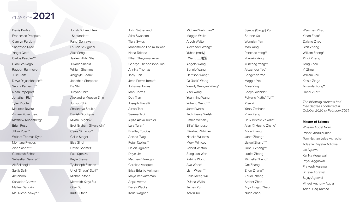Denis Profka Francesco Prospato Camryn Purdom Shanzhao Qiao Yingsi Qin\*\* Carlos Raedler\*\*\* Gianluca Rago Reuben Rahmeyer Julie Raiff Divya Rajasekharan\*\*\* Sapna Ramesh\*\*\* Noah Rapoport Jonathan Rich\*\* Tyler Riddle Mauricio Rivera Ashley Rosenberg Matthew Rosenberg\* Brian Ross Jillian Ross\*\* William Thomas Ryan Montana Rynties Ziad Saade\*\*\* Guntaash Sahani Sebastian Salazar\*\* Ali Salihoglu Sakib Salim Alejandro Salvador Chavez Matteo Sandrin Mel Nichol Sawyer

Jonah Schaechter- Santander\*\* Rahul Sehrawat Lauren Sekiguchi Alaz Sengul Jaidev Nikhil Shah Juvaria Shahid William Shamma Abigayle Shank Jonathan Sheppard Da Shi Junyao Shi\*\* Alexandra Meesun Shin Junsup Shin Shailejeya Shukla Danish Siddiquie Mikhail Sigalov Bret Graham Silverstein\* Cyrus Siminou\*\* Callie Singer Elaa Singh Defne Sonmez Paul Spezza Kayla Stewart Ty Joseph Stinson Uriel "Shaun" Stoll\*\* Michael Stone Meredith Xinyi Sui Qian Sun Kruti Sutaria

John Sutherland Silas Swanson Tiara Sykes Mohammad Fahim Tajwar Nana Takada Ethan Thayumanavan George Theodosopoulos Annika Thomas Jady Tian Jean-Pierre Torras\*\* Johanna Torres Mark Torres Duy Tran Joseph Trasatti Alissa Tsai Serena Tsui Alyza Alexa Tuchler Lara Turan\* Bradley Turcios Anisha Tyagi Peter Tzelios\*\* Helen Ugulava Daye Um Matthew Vanegas Carolina Vazquez Erica Brigitte Veltman Maya Venkatraman Anjali Verma Derek Wacks Korie Wagner

Michael Wahrman\*\* Maggie Wallis Aryeh Walter Alexander Wang\*\* Yuhan (Andy) Wang 王雨涵 Angela Wang Bonnie Wang Harrison Wang\* Qi "Jack" Wang Wendy Wenyan Wang\* Yifei Wang Yuanming Wang Yuheng Wang\*\*\* Jared Weiss Jack Henry Welsh Emma Wensley Eli Whitehouse Elizabeth Whittier Natalie Williams Meryl Winicov Robert Winton Sung Jun Won Katrina Wong Ava Wood\* Liam Wrean\*\* Bella Meng Wu D'Jana Wyllis James Xu Kelvin Xu

Symba (Qingyi) Xu Serene Xu Wenqian Yan Man Yang Ranchao Yang\*\* Yuanxin Yang Yuncong Yang\*\*\* Alexander Yao\* Songchen Yao Maggie Yin Alina Ying Shoya Yoshida\* Feiyang (Kathy) Yu\*\*\* Xiya Yu Yaniv Zecharia Yifan Zeng Bruk Bekele Zewdie\* Alan Xi-Huang Zhang\* Alice Zhang Janet Zhang\* Jiawei Zhang\*\*\* Junhui Zhang\*\*\* Luofei Zhang Michelle Zhang\* Oni Zhang Zhen Zhang\*\* Zhuoli Zhang Amber Zhao Arya Lingyu Zhao Nuan Zhao

Wanchen Zhao Yihan Zhao\* Zixiang Zhao Stan Zheng William Zheng\* Xindi Zheng Tong Zhou Yi Zhou William Zhu Ketsia Zinga Amanda Zong\*\* Danni Zuo\*\*

*The following students had their degrees conferred in October 2020 or February 2021.*

#### **Master of Science**

Wissam Abdel Nour Parvati Abdulpurkar Tom Nathan Jules Achache Adaeze Onyeka Adigwe Jai Agarwal Kanika Aggarwal Priyal Aggarwal Pratyush Agrawal Shreya Agrawal Sujay Agrawal Vineet Anthony Aguiar Adeel Haq Ahmad

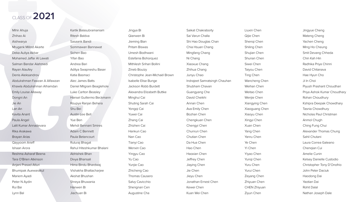Mihir Ahuja Zhihao Ai Aishwarya Mrugank Milind Akarte Deka Auliya Akbar Mohamed Jaffar Al Lawati Salman Bandar Alahmadi Rayan Alaufey Denis Aleksandrov Abdulrahman Fawzan A Alfawzan Khawla Abdulrahman Alhamdan Emily Louise Allaway Dongni An Jie An Lan An Kavita Anant Paula Angel Lalit Kumar Annadevara Rika Arakawa Brayan Arias Qayyoom Arieff Ishaan Arora Reshma Asharaf Beena Tara O'Brien Atkinson Anjani Prasad Atluri Bhumipak Auewarakul Mariem Ayadi Peter N Aydin Rui Bai Lynn Bal

Kartik Balasubramaniam Ritesh Baldva Sasaank Bandi Sommawan Bannawat Sichen Bao Yifan Bao Andrea Bari Aditya Swapneshu Baser Katia Basmaci Alec James Batts Daniel Milgram Beaglehole Luke Carlton Beasley Hansel Guillermo Beckmann Roupya Ranjan Behera Shu Bei Austin Lee Bell Yue Ben Mehdi Bennani Smires Adam C Bennett Paula Betancourt Ruturaj Bhagat Rahul Hiteshkumar Bhalani Abhishek Bhan Divya Bhansali Hima Bindu Bhardwaj Vishakha Bhattacharjee Akshat Bhushan Shreya Bhuwania Hanwen Bi Jiachuan Bi

Jingya Bi Qianwen Bi Jieming Bian Pritam Biswas Umesh Bodhwani Estefania Bohorquez Mithilesh Srihari Bollini Zineb Bouizy Christophe Jean-Michaël Brown Isabelle Elise Bunge Jackson Robb Burdett Alexandra Elizabeth Buttke Minghui Cai Shuting Sarah Cai Yongqi Cai Yuwei Cai Zhang Cai Zhizhen Cai Hankun Cao Nan Cao Tianyi Cao Wenxin Cao Yingyu Cao Yu Cao Yunjie Cao Zhicheng Cao Thomas Causero Salvy Cavicchio Shengnan Cen Augustine Cha

| Saikat Chakraborty            |
|-------------------------------|
| Sai Varun Challa              |
| Shi Hao Douglas Chan          |
| Chia Hsuan Chang              |
| Mingfang Chang                |
| Ni Chang                      |
| Xiaoxue Chang                 |
| Zhihua Chang                  |
| Junyu Chao                    |
| Indrajeet Samratsingh Chauhan |
| Shubham Chavan                |
| Guangyang Che                 |
| David Cheikhi                 |
| Annan Chen                    |
| Ava Emily Chen                |
| Bozhan Chen                   |
| Chengkuan Chen                |
| Chengyi Chen                  |
| Chunrun Chen                  |
| Chutian Chen                  |
| Da Hua Chen                   |
| Hao Chen                      |
| Haoxian Chen                  |
| Jeffrey Chen                  |
| Jiaying Chen                  |
| Jie Chen                      |
| Jieyu Chen                    |
| Jonathan Ernest Chen          |
| Kewei Chen                    |
| Kuan Wei Chen                 |

Liuxin Chen Qijie Chen Shenqi Chen Shiling Chen Shujian Chen Shunan Chen Siwei Chen Taiyou Chen Ting Chen Wancheng Chen Weihan Chen Weitao Chen Wenjie Chen Xiangying Chen Xiaoguang Chen Xiaoyu Chen Xingyi Chen Xuan Chen Yang Chen Yanru Chen Ye Chen Yi Chen Yiyao Chen Yunqi Chen Yuru Chen Yurui Chen Zeyang Chen Zhiyuan Chen CHEN Zhiyuan Ziyun Chen

Jingyue Cheng Mateng Cheng Yachen Cheng Ming Ho Cheung Smit Devang Chheda Chin Kah Hin Radhika Priya Chinni David Chitanava Hae Hyun Cho Ji In Choi Piyush Prashant Choudhari Priya Ashok Kumar Choudhary Rohan Choudhury Kshipra Deepak Chowdhary Tasnia Chowdhury Nicholas Paul Christman Anmol Chugh Ching Fung Chui Alexander Thomas Chung Sahil Chutani Laura Correa Galeano Chenqian Cui Amelie Cunin Kelsey Danielle Custodio Christopher Tony D'Onofrio John Peter Daciuk Haodong Dai Yaotian Dai Rohit Dalal Nathan Joseph Dale



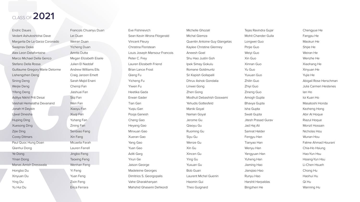Endric Daues Vedant Ashutoshbhai Dave Margarita De La Garza Coronado Swapnav Deka Alex Leon Delafontaine Marco Michael Della Genco Stefano Della Rossa Guillaume Gregory Marie Delorme Lishengzhen Deng Sining Deng Weijie Deng Yifeng Deng Aditya Nikhil Priti Desai Vaishali Hemalatha Devanand Jonah H Deykin Ujwal Dinesha Huping Ding Xuesong Ding Zijie Ding Corey Ditmars Paul Quoc Hung Doan Qianhui Dong Ye Dong Yinan Dong Manas Amish Dresswala Hongbo Du Xinyuan Du Ying Du Yu Hui Du

Francois Chuanyu Duan Lei Duan Weiran Duan Yicheng Duan Amrita Dutta Megan Elizabeth Eisele Julien El Naddaf Andrew Williams Ells Craig Janzen Emett Sarah Majid Enani Chenqi Fan Jiashuai Fan Siqi Fan Wen Fan Xiaoyu Fan Xiuqi Fan Yuhang Fan Zining Fan Senbiao Fang Xin Fang Micaella Farah Lauren Farrell Jingbo Feng Taoxing Feng Wenhan Feng Yi Feng Yuan Feng Zixin Feng Erica Ferrara

Eve Fishinevich Sean Kevin Wrona Fitzgerald Vincent Fleury Christina Floristean Louis Joseph Mansour Francois Peter C. Frey Lauren Elizabeth Friend Brian Lance Frost Qiang Fu Yicheng Fu Yiwen Fu Heetika Gada Erwan Gader Tian Gan Yuqiu Gan Pooja Ganesh Chang Gao Heyang Gao Minxuan Gao Xueran Gao Yang Gao Yuan Gao Aditi Garg Yirun Ge Jaison George Madeleine Georges Dimitrios S. Georgopalis Vahe Gharakhanyan Mahshid Ghasemi Dehkordi

| Michelle Ghozali              | Tejas Ravindra Gujar       | Chengyue He                  |
|-------------------------------|----------------------------|------------------------------|
| Michal Giemza                 | <b>Mohit Chander Gulla</b> | Fangpu He                    |
| Quentin Antoine Guy Glangetas | Longwei Guo                | Maokun He                    |
| Kaylee Christine Glenney      | Pinjie Guo                 | Shijie He                    |
| <b>Aneesh Goel</b>            | Weiyi Guo                  | Weiran He                    |
| Shu Hao Justin Goh            | Xin Guo                    | Wenzhe He                    |
| Ipek Simay Gokulu             | Xinnan Guo                 | Xiaohang He                  |
| Romane Goldmuntz              | Yu Guo                     | Xinyuan He                   |
| Sri Kapish Gollapalli         | <b>Yuxuan Guo</b>          | Yujie He                     |
| Dhruv Ashok Gondalia          | Zhilin Guo                 | Abigail Rose Herschman       |
| Linwei Gong                   | Zhiyi Guo                  | <b>Julia Carmen Hestenes</b> |
| Zhen Gong                     | Zineng Guo                 | lan Ho                       |
| Modhuli Debashish Goswami     | Amogh Gupta                | loi Kuan Ho                  |
| Yehudis Gottesfeld            | Bhavya Gupta               | Masatoshi Honda              |
| Manik Goyal                   | Isha Gupta                 | Kezheng Hong                 |
| Naman Goyal                   | Swati Gupta                | Abir Al Hoque                |
| Jerome Gu                     | <b>Jitesh Prasad Gurav</b> | Riazul Hoque                 |
| Qiaoyu Gu                     | Jad Haj Ali                | Monzil Hossain               |
| Ruoming Gu                    | Samrat Halder              | Nicholas Hou                 |
| Siyu Gu                       | Fengyu Han                 | Wunan Hou                    |
| Wenze Gu                      | Tianyao Han                | Fatme Ahmad Hourani          |
| Xin Gu                        | Wenyu Han                  | Chia-Ho Hsiung               |
| Xincen Gu                     | Yangyuan Han               | Hao-Yun Hsu                  |
| <b>Ying Gu</b>                | Yuheng Han                 | Hsiang-Yun Hsu               |
| Yuxuan Gu                     | Jiaming Hao                | Li-Chen Hsueh                |
| <b>Bob Guan</b>               | Jiangiao Hao               | Chong Hu                     |
| <b>Laurent Michel Guenin</b>  | Runyu Hao                  | Haohui Hu                    |
| Haomin Gui                    | <b>Harshit Harpaldas</b>   | Qi Hu                        |
| Theo Guignard                 | Bingzhen He                | Wanning Hu                   |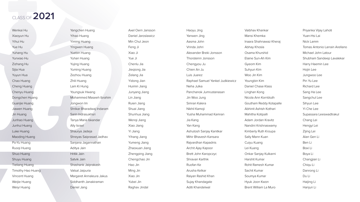Wenkai Hu Xiaoyun Hu Yihui Hu Yue Hu Yuhang Hu Yunxiao Hu Zizhang Hu Sijia Hua Yuyun Hua Chao Huang Cheng Huang Chenyu Huang Dongchen Huang Guanjie Huang Jiawen Huang Jin Huang Junhao Huang Junhui Huang Luke Huang Maoding Huang Po-Yu Huang Ruoqi Huang Shuo Huang Shuyu Huang Tieliang Huang Timothy Hao Huang Vincent Huang Weijie Huang Weiyi Huang

Yangchen Huang Yihao Huang Yiming Huang Yingwen Huang Yuebin Huang Yuhan Huang Yujing Huang Yuming Huang Zezhou Huang Zhili Huang Lam Ki Hung Youngsuk Hwang Mohammed Maseeh Ibrahim Jongwon Im Shrikar Bharadwaj Indaram Sarin Indrasukhsri Tanya Maria Iskandar Ally Israel Shaurya Jadeja Shreyas Saiprasad Jadhav Sanjana Jagannathan Aditya Jain Hritik Jain Satvik Jain Shashank Jaiprakash Vatsal Jaipuria Margaret Annaleura Jakus Siddhanth Janakiraman Daniel Jang

Axel Oern Jansson Daniel Jaroslawicz Min Chul Jeon Feng Ji Xiao Ji Yue Ji Chenlu Jia Jieqiong Jia Zelang Jia Yidong Jian Huimin Jiang Junyang Jiang Lin Jiang Ruien Jiang Shuai Jiang Shunhua Jiang Wenqi Jiang Xiao Jiang Yi Jiang Yihang Jiang Yumeng Jiang Zhaoxuan Jiang Zhengping Jiang Chengchao Jin Hao Jin Ming Jin Xiao Jin Yubei Jin Raghav Jindal

Haoyu Jing Yanwen Jing Aasma John Vrinda Johri Alexander Breki Jonsson Thorsteinn Jonsson Chengyou Ju Chien An Ju Luis Juarez Raphael Samuel Yankel Judkiewicz Neha Julka Panchanok Jumrustanasan Jin Woo Jung Simran Kalera Nikhil Kamoji Yusha Muhammad Kamran Jia Kang Yan Kang Ashutosh Sanjay Kanitkar Mihir Bhavesh Kansara Rajvardhan Kapadnis Archit Ajay Kapoor Brett John Karopczyc Shravan Karthik Ruofan Ke Arusha Kelkar Raiyan Rashid Khan Sujay Khandagale Aditi Khandelwal

Vaibhav Khankar Mansi Khemka Inaara Shahnawaz Kheraj Abhay Khosla Osama Khurshid Elaine Sun-Ah Kim Gyeom Kim Suhyun Kim Woo Jin Kim Youngbin Kim Daniel Chase Klass Linghan Kong Nicola Ann Kornbluth Goutham Reddy Kotapalle Abhinit Ashish Kothari Mahitha Kotipalli Adam Jordan Kravitz Nandini Krishnaswamy Kimberly Ruth Kroupa Sally Mann Kuan Cuiyu Kuang Lei Kuang Onkar Sanjay Kulkarni Harshit Kumar Rohit Ramesh Kumar Sachit Kumar Soumya Kumar Hyuk Joon Kwon Brent William La Muro

Priyanka Vijay Lahoti Yuan-Hsi Lai Nick Lamm Tomas Antonio Larrain Arellano Michael John Latour Shubham Sandeep Lavalekar Harry Haemin Lee Hojin Lee Jungwoo Lee Pin Yu Lee Richard Lee Sang Ha Lee Sangchul Lee Sihyun Lee Yi Che Lee Supassara Leeswadtrakul Chang Lei Hengyi Lei Zijing Lei Alan Gen Li Ben Li Boxi Li Boya Li Changjian Li Chiqu Li Danrong Li Du Li Haijing Li Hanjun Li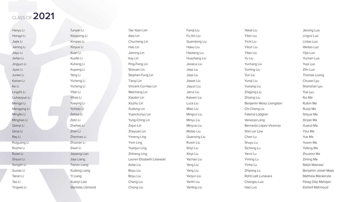Hanyu Li Hongyi Li Jiajie Li Jianing Li Jiayu Li Jiefan Li Jingyun Li Jiyao Li Junke Li Kainan Li Ke Li Lingzhi Li Liuhaoyue Li Mengyi Li Mengying Li Mingfei Li Minghao Li Qianyi Li Qinyi Li Ray Li Ruiguang Li Ruizhe Li Ruoxi Li Shiyun Li Songlin Li Suxiao Li Tairan Li Tao Li Tingwei Li

Tunyan Li Xiaopeng Li Xinqiao Li Xinyue Li Xuan Li Xuefei Li Xuheng Li Xupeng Li Yang Li Yicheng Li Yicheng Li Yifan Li Yihao Li Yueying Li Yumiao Li Zehao Li Zelin Li Zhehao Li Zhen Li Zhenhao Li Zhuoran Li Ziwei Li Jiepeng Lian Jiayi Liang Tianze Liang Xudong Liang Yi Liang Xuanyi Liao Stanislas Libmond

Tae Yoon Lim Alex Lin Chucheng Lin Hao Lin Jiaming Lin Kay Lin Ping-Feng Lin Shixuan Lin Stephen Fung Lin Tianyi Lin Vincent Cui-Hao Lin Weichang Lin Xiaobin Lin Xiuzhu Lin Xudong Lin Yuanchunyu Lin Yung-Ching Lin Zejun Lin Zheyuan Lin Yimeng Ling Yixin Ling Yuanjun Ling Zhiheng Ling Lauren Elizabeth Lisiewski Anke Liu Boyu Liu Boyu Liu Chang Liu Chong Liu

| Fangi Liu    | Yekai Liu                 | Jierong Luo              |
|--------------|---------------------------|--------------------------|
| Fu Xin Liu   | Yibin Liu                 | Lingrui Luo              |
| Guandong Liu | Yichi Liu                 | Lintao Luo               |
| Haixu Liu    | Yikun Liu                 | Weitao Luo               |
| Haotang Liu  | Yitao Liu                 | Yijia Luo                |
| Huazhang Liu | Yu Liu                    | Yuchen Luo               |
| Jessica Liu  | Yuchang Liu               | Yugi Luo                 |
| Jiaqi Liu    | Yuming Liu                | Zilin Luo                |
| Jiaqi Liu    | Yun Liu                   | Thomas Luong             |
| Jiawei Liu   | Yungi Liu                 | Chuwei Lyu               |
| Jiayun Liu   | <b>Yuxiang Liu</b>        | Shanshan Lyu             |
| Jierui Liu   | Zhigeng Liu               | Yue Lyu                  |
| Kaiwen Liu   | Zhixing Liu               | Rui Ma                   |
| Luca Liu     | Benjamin Weiss Livingston | Ruibin Ma                |
| Miao Liu     | Chi Cheng Lo              | Ruoyi Ma                 |
| Mingrui Liu  | Fatema Lodgher            | Shiyue Ma                |
| Minyu Liu    | Vanessa Long              | Xinpei Ma                |
| Minyue Liu   | Bernardo López Vicencio   | Xuanzi Ma                |
| Motao Liu    | Shin Ler Low              | Yirui Ma                 |
| Quanxing Liu | Chen Lu                   | Yue Ma                   |
| Ruixin Liu   | Shuyu Lu                  | Yueen Ma                 |
| Shiyi Liu    | Sicheng Lu                | Yufeng Ma                |
| Xinyi Liu    | Yanni Lu                  | Zhuoren Ma               |
| Yachao Liu   | Yiming Lu                 | Ziming Ma                |
| Yang Liu     | Yinhe Lu                  | Ralph Maarawi            |
| Yang Liu     | Zhiyong Lu                | Benjamin Jonah Maas      |
| Yanjun Liu   | Rohit Lalit Lunavara      | <b>Matthew Mackenzie</b> |
| Yanlin Liu   | Changxu Luo               | Parag Dilip Mahajan      |
| Yanting Liu  | Hao Luo                   | <b>Elsherif Mahmoud</b>  |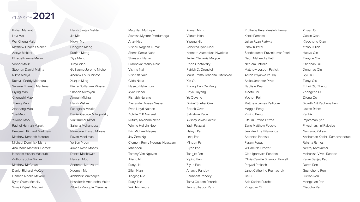Rohan Mahnot Leyi Mai Wai Chong Mak Matthew Charles Maker Aditya Makkar Elizabeth Anne Malan Vibhor Malik Stephen Daniel Malina Nikita Mallya Ruthvik Reddy Mannuru Swarna Bharathi Mantena Biying Mao Chengzhi Mao Jiheng Mao Xiaohang Mao Yue Mao Yuxuan Mao Rachel Hannah Marek Benjamin Richard Markham Matthew Kenneth Maroun Michael Dominick Marra Ana Maria Martinez Gomez Hesham Husain Masoudi Anthony John Mazza Matthew McCown Daniel Richard McKeen Hannah Noelle Mckool Ryan Owen Mcnally Sonali Rajesh Medani

Harsh Sanjay Mehta Jie Mei Niuyin Mei Hongyan Meng Ruofan Meng Ziye Meng Junyi Miao Guillaume Jerome Michel Andrew Louis Minafo Xuejun Ming Pierre Guillaume Minssen Shahen Mirzoyan Amogh Mishra Harsh Mishra Panagiotis Misirlis Daniel George Mitropolsky Vinit Kumar Mittal Sahana Mohandoss Niranjana Prasad Moleyar Pavan Moolimani Ye Eun Moon Aimee Rose Moses Daniel Moskowitz Hansen Mou Andreani Mouzourou Xueman Mu Abhishek Mukherjee Hrishikesh Aniruddha Mukte Alberto Munguia Cisneros

Mughilan Muthupari Srivatsa Mysore Panduranga Arjav Nag Vishnu Nagesh Kumar Sherin Ramla Naha Shreyans Nahar Prabhakar Manoj Naik Vishnu Nair Vishruth Nair Gilda Naka Hayato Nakamura Ayan Nandi Rishabh Narang Alexander Anees Nassar Evan Lloyd Nathan Achille O R Nazaret Ruturaj Rajendra Nene Winnie Hui Lin Neo Eric Michael Neyman Jay Zern Ng Clement Remy Ndenga Ngassam Mbandou Tommy Van Nguyen Jiliang Ni Runyu Ni Zifan Nian Jingjing Nie Ruoyi Nie Yuki Nishimura

Kumari Nishu Vikram Nitin Yipeng Niu Rebecca Lynn Noel Kenneth Afamefuna Nwokolo Javier Olavarria Mugica Chen Opatovsky Patrick D. Orenstein Malin Emma Johanna Ortenblad Xin Ou Zhong Tian Ou Yang Boya Ouyang Ye Ouyang Dwiref Snehal Oza Berrak Ozer Salvatore Pace Akshay Vikas Pakhle Yash Palawat Hsinyu Pan Leiqi Pan Mingen Pan Siyan Pan Tangjie Pan Yiping Pan Ziyue Pan Ananye Pandey Shubham Pandey Tanvi Gautam Pareek Jenny Jihyuon Park

Pruthaba Rajendrasinh Parmar Kartik Parnami Julian Ryan Partyka Pinak K Patel Sandipkumar Pravinkumar Patel Gauri Mahendra Patil Neelam Patodia Matthew Joseph Patrick Anton Priyanka Paulraj Anika Jeanette Pavis Baptiste Pean Xiaofu Pei Yuchen Pei Matthew James Pellicore Maggie Peng Yiming Peng Fitsum Ermias Petros Zane Matthew Peycke Jennifer Liza Pilamunga Antonios Pinotsis Param Popat William Neil Porter Gleb Igorevich Posobin Olivia Camille Shannon Powell Prajwal Prakash Janet Catherine Prumachuk Jin Pu Adit Sachin Purohit Yingyuan Qi

Zixuan Qi Gaolin Qian Xiaocheng Qian Yizhou Qian Haoyu Qin Tianyue Qin Chennan Qiu Donghao Qiu Siyi Qiu Tianyi Qiu Enhui Qiu Zhang Zhongche Qu Zifeng Qu Sidarth Ajit Raghunathan Lawan Rahim Karthik Rajaraman Iyer Priyadharshini Rajbabu Nuntanut Raksasri Anshuman Karthik Ramachandran Raksha Ramesh Neeraj Ramkumar Mohanish Vivek Ranade Karan Sanjay Rao Daren Ren Guancheng Ren Jueran Ren Mengxuan Ren Qiaochu Ren

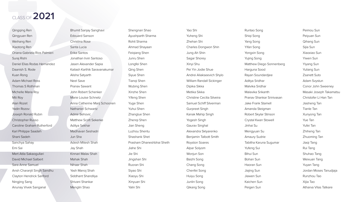Qingqing Ren Qingyuan Ren Weihang Ren Xiaotong Ren Oriana Gabriela Rios Palmieri Suraj Rishi Daniel Elias Rodas Hernandez Daanish S. Rode Kuan Rong Adam Michael Ross Thomas S Rothman Michelle Maria Roy Mili Roy Alan Rozet Yadin Rozov Joseph Ronald Rubin Christopher Russo Caroline Graham Rutherford Karl Philippe Saadeh Shani Sadeh Sanchya Sahay Emi Sai Mert Atila Sakaogullari David Michael Salbert Sara Anne Samuel Ansh Charanjit Singh Sandhu Clayton Hendrick Sanford Ningjing Sang Anunay Vivek Sanganal

Bhumit Sanjay Sanghavi Edouard Sanson Christina Rose Santa Lucia Erika Santos Jonathan Irvin Santoso Jasen Alexander Sapia Kailash Karthik Saravanakumar Alisha Satyarth Neel Save Pranav Sawant John Robert Schenker Marie Louise Schnetz Anna Catherine Marij Schoonen Nathaniel Schwartz Admir Sehovic Matthew Scott Sekerke Aditya Sekhar Madhavan Seshadri Jun Sha Adesh Mitesh Shah Jay Shah Kinnari Malav Shah Mahak Shah Nihaar Shah Yash Manoj Shah Siddhant Shandilya Shivani Shankar Menglin Shao

Shengnan Shao Ayushparth Sharma Rohit Sharma Ahmad Shayaan Feiqiang Shen Junru Shen Longfei Shen Qing Shen Siyue Shen Tianqi Shen Wubing Shen Xinzhe Shen Yifeng Shen Yuge Shen Yuhui Shen Zhanglue Shen Zhenqi Shen Jian Sheng Luzhou Shentu Shashank Shet Prasham Dhaneshbhai Sheth Jiahe Shi Jie Shi Jingshan Shi Ruoran Shi Siyao Shi Xiaoyu Shi Xinyuan Shi Yalin Shi

Yao Shi Yuheng Shi Zhehan Shi Charles Dongwon Shin Jung Ah Shin Sagar Shorey Xinyi Shu Pei Yin Jodie Shue Andrei Aliakseevich Shylo William Randall Sickinger Dipika Sikka Metika Sikka Christine Cecilia Silveira Samuel Schiff Silverman Gurpreet Singh Kanak Mahip Singh Yogesh Singh Gaurav Singhal Alexandra Sklyarenko Benjamin Talbott Smith Royston Soares Alpar Solyom Wonjun Son Baizhi Song Chang Song Chenfei Song Huiyu Song Junlin Song Qikang Song

Runtao Song Shiqi Song Yang Song Yifan Song Yongxin Song Yujing Song Matthew Diego Sonnenberg Harguna Sood Rayan Soundardjee Aditya Sridhar Malvika Sridhar Malavika Srikanth Pranav Shankar Srinivasan Jake Frank Stamell Amanda Steigman Robert Skylar Stinson Crystal Kwan Stowell Jinhai Su Mengyuan Su Amaury Sudrie Tabitha Karuna Sugumar Yufeng Sui Bihui Sun Bohan Sun Haoran Sun Jiajing Sun Jiawen Sun Kaichen Sun Peigen Sun

Peimou Sun Peiyuan Sun Qihang Sun Sijia Sun Xiaoxiao Sun Yiwen Sun Yiyang Sun Yuliang Sun Zsanett Suto Adam Svystun Conor John Sweeney Masaki Joseph Takamatsu Christofer Li Han Tan Jiasheng Tan Tianle Tan Xunyong Tan Yue Tan Yufei Tan Zhiheng Tan Zhuoming Tan Jiaqi Tang Rui Tang Shuhao Tang Weixuan Tang Yuyan Tang Jordan Moses Tanudjaja Runzhou Tao Xijia Tao Atharva Vilas Tatkare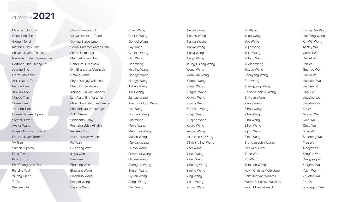Maxime Tchibozo Chun Ying Tee Gideon Teitel Marshall Clark Tekell Shivam Jayesh Thakkar Niabelle Emilie Thelemaque Bertrand Thia Thiong Fat Joanne Tho Pierre Tholoniat Anjali Naidu Thota Ruihua Tian Xinluan Tian Xinyue Tian Yiwen Tian Yumeng Tian Curren Sameer Tipnis Sarthak Tiwari Ayaka Toake Angela Monica Tolwani Patricio Javier Torres Vy Tran Suman Tripathy Esha Trivedi Riva T. Tropp Eric Chung Chih Tsai Pei-Ling Tsai Yi Ping Tseng Tu Tu Wenwen Tu

Harsh Sanjeev Tuli Vijaya Harshitha Tutari Obinna Blaise Umeh Sooraj Parameswaran Unni Skand Upmanyu Mehmet Sinan Uray Carter Paul Usowski Om Bharatbhai Vaghasia Umang Vaish Shyen Sanjay Vakharia Phani Kumar Valasa Anurag Srinivas Varanasi Lara Valentina Vartanian Maximiliano Vedoya Ramirez Shiv Vidhyut Venkatagiri Ankit Verma Siddhanth Vinay Rushabh Uday Vinchhi Ravleen Virdi Harish Visweswaran Fei Wan Guizhong Wan Jieyu Wan Yue Wan Zhuoting Wan Bingtang Wang Bingzhuo Wang Binqian Wang Caoyue Wang

Chen Wang Cunjun Wang Dongqi Wang Fay Wang Guanjie Wang Han Wang Han Wang Haoting Wang Hongjin Wang Hongyi Wang Jiahao Wang Junli Wang Junyao Wang Kuangguidong Wang Lan Wang Linghao Wang Ludi Wang Meng Wang Menghan Wang Mutian Wang Muxuan Wang Nuoya Wang Oliver Liu Wang Qiuyue Wang Shengtao Wang Shuran Wang Siyuan Wang Songli Wang Tian Wang

Tianling Wang Tianmu Wang Tianyan Wang Tianye Wang Tianyi Wang Tingyi Wang Tsung-Hsiang Wang Wensi Wang Wenxuan Wang Xiaohe Wang Xiaoyi Wang Xingbei Wang Xinyao Wang Xinyue Wang Xuechun Wang Xuejin Wang Xuejing Wang Xueru Wang Yanbin Wang Mike (Yao-Yi) Wang Olivia (Yeling) Wang Yifei Wang Yihan Wang Yihan Wang Yihuang Wang Yiming Wang Ying Wang Yitian Wang Yixuan Wang

Yu Wang Yuan Wang Yue Wang Yujia Wang Yujie Wang Yulong Wang Yuqian Wang Yuxiao Wang Zhaoyang Wang Zhe Wang Zhengyang Wang Zhidan Danielle Wang Zhiyuan Wang Ziang Wang Zihao Wang Zihe Wang Zihu Wang Zijian Wang Zijing Wang Ziniu Wang Brendan John Warner Jingkaihui Wei Yiran Wei Rui Wen Yunxuan Weng Kevin Christian Wibisono Faith Kristyna Williams Mateo Sebastian Williams Kevin Milan Womack

Foong Yee Wong Hoi Pang Wong Kin Wai Wong Ashley Wu Cornell Wu Daniel Wu Fan Wu Guande Wu Hanyu Wu Haoxuan Wu Jiachen Wu Jingyi Wu Jingying Wu Jingzhou Wu Kai Wu Mowen Wu Qian Wu Qitao Wu Shan Wu Shaofeng Wu Tian Wu Xingjian Wu Yangfan Wu Yangyang Wu Yingnan Wu Yushi Wu Zhuofan Wu Zhe Xi Shengqing Xia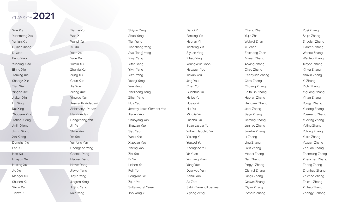Xue Xia Yuanmeng Xia Yunjun Xia Guinan Xiang Di Xiao Feng Xiao Yunqing Xiao Binhe Xie Jiaming Xie Shangzi Xie Tian Xie Yingde Xie Jiakun Xin Lin Xing Rui Xing Zhuoyue Xing Jiahao Xiong Jinlin Xiong Jinxin Xiong Xin Xiong Donghai Xu Fan Xu Han Xu Huayun Xu Huiting Xu Jie Xu Mengdi Xu Shusen Xu Sikun Xu Tianze Xu

Tianze Xu Wan Xu Wenyi Xu Xu Xu Yuan Xu Yujie Xu Yumin Xu Zhenjia Xu Zijing Xu Chun Xue Jie Xue Zilong Xue Yingluo Xun Jeswanth Yadagani Abhimanyu Yadav Harsh Yadav Congcheng Yan Jin Yan Shijia Yan Ye Yan Yunfeng Yan Chenghao Yang Chenxu Yang Haonan Yang Hewei Yang Jiawei Yang Jiayin Yang Jingren Yang Jinjing Yang Rain Yang

Shiyun Yang Shuo Yang Tian Yang Tianchang Yang Ava (Tong) Yang Xinyi Yang Yifan Yang Yiyin Yang Yizhi Yang Yuanji Yang Yue Yang Zhezheng Yang Zihan Yang Hua Yao Jeremy Louis Clement Yao Jianan Yao Shuoyang Yao Shuwan Yao Siyu Yao Weixi Yao Xiaoyan Yao Zheng Yao Zhi Yao Di Ye Lichen Ye Peili Ye Pengxian Ye Zijun Ye Sultanmurat Yeleu Joo Yong Yi

Danqi Yin Fanxing Yin Haoran Yin Jianfeng Yin Siyuan Ying Zihao Ying Youngkeun Yoon Haoxuan You Jiakun You Jing You Chen Yu Guanhua Yu Haibo Yu Huayu Yu Hui Yu Mingjia Yu Qianhui Yu Sean Jaspar Yu William Jagchid Yu Yixiang Yu Youwei Yu Zhenghao Yu Ye Yuan Yuzhang Yuan Yang Yue Duanyue Yun Zehui Yun Ali Zare Sabin Zarrandikoetxea Yiyang Zeng

Cheng Zhai Yujia Zhai Weiwei Zhan Yu Zhan Zhicheng Zhan Aixuan Zhang Aoxing Zhang Chao Zhang Chenyuan Zhang Chris Zhang Chuang Zhang Edith Jin Zhang Haoran Zhang Hengwei Zhang Jiaqi Zhang Jiayu Zhang Jinming Zhang Junhao Zhang Junzhe Zhang Li Zhang Ling Zhang Lixin Zhang Miaoci Zhang Nan Zhang Pingyu Zhang Qianrui Zhang Qingli Zhang Qinwei Zhang Qiyan Zhang Richard Zhang

Ruyi Zhang Shijia Zhang Shuqian Zhang Tianren Zhang Wenrui Zhang Wentao Zhang Xinyan Zhang Xinyu Zhang Yanxin Zhang Yi Zhang Yichi Zhang Yiguang Zhang Yihan Zhang Yongyi Zhang Yudong Zhang Yuemeng Zhang Yuexing Zhang Yuting Zhang Yutong Zhang Yuxin Zhang Yuxuan Zhang Zequan Zhang Zhanming Zhang Zhenchen Zhang Zheng Zhang Zhenhao Zhang Zhichao Zhang Zhichu Zhang Zhihao Zhang Zhongyu Zhang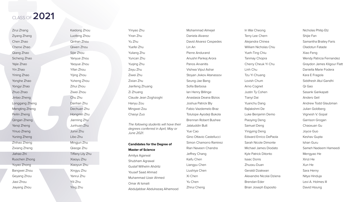Zirui Zhang Ziyang Zhang Chen Zhao Chenxi Zhao Qiang Zhao Sicheng Zhao Yajie Zhao Yin Zhao Yining Zhao Yonghe Zhao Yongyi Zhao Zhuo Zhao Jintao Zheng Longgang Zheng Mengting Zheng Peilin Zheng Qingan Zheng Yanqi Zheng Yinuo Zheng Yuning Zheng Zhihao Zheng Zixiang Zheng Jiahao Zhi Ruochen Zhong Yuyao Zhong Bangwei Zhou Geyang Zhou Jiaxi Zhou Jiayang Zhou

The following students will have the *degrees conferred in April, May or June 2021.*

Kaidong Zhou Luofeng Zhou Qinhan Zhou Qiwen Zhou Sijie Zhou Yanyue Zhou Yaoyue Zhou Yifan Zhou Yijing Zhou Yuheng Zhou Zihui Zhou Ziwei Zhou Chu Zhu Danhan Zhu Dechuan Zhu Hongmin Zhu Jianning Zhu Junhuan Zhu Junxi Zhu Libo Zhu Mingjun Zhu Qiaoge Zhu Tiffany Lily Zhu Xiaoyu Zhu Xiaoyun Zhu Xingyu Zhu Yanrui Zhu Yili Zhu Ying Zhu

Yinyao Zhu Yiran Zhu Yu Zhu Yuefei Zhu Yuliang Zhu Yuncan Zhu Yuqing Zhu Zeyu Zhu Ziwei Zhu Zixian Zhu Jianfeng Zhuang Zi Zhuang Claude Jean Zoghzoghi Hanyu Zou Mingwei Zou Chaoyi Zuo

#### **Candidates for the Degree of**

#### **Master of Science**

Amitya Agarwal Shubham Agrawal Gustaf Wilhelm Ahdritz Yousef Saad Ahmad Muhammad Uzair Ahmed Omar Al Ismaili Abduljabbar Abdulrazaq Alhamood

|     | Mohammad Almejel         |
|-----|--------------------------|
|     | Daniela Alvarez          |
|     | David Alvarez Cespedes   |
|     | Lin An                   |
|     | Pierre Andurand          |
|     | Anushri Pankaj Arora     |
|     | Panos Arvanitis          |
|     | Vishwa Vipul Ashar       |
|     | Stoyan Jivkov Atanassov  |
|     | Seung-Jae Bang           |
|     | Sofia Barbosa            |
|     | lan Henry Billinge       |
|     | Anastasia Deana Bizios   |
|     | Joshua Patrick Bly       |
|     | Fabio Vazdemelo Braz     |
|     | Tolulope Ayodeji Bukola  |
|     | Brennan Robert Bushee    |
| eir | Jalaluddin Butt          |
|     | <b>Yue Cao</b>           |
|     | Gino Ottavio Castellucci |
|     | Simon Chamorro Ramirez   |
|     | Rian Naveen Chandra      |
|     | Jeffrey Chang            |
|     | Kaifu Chen               |
|     | Liangyu Chen             |
|     | Liushiya Chen            |
|     | Xi Chen                  |
|     | Yu Chen                  |
|     | Zhirui Cheng             |

In Wai Cheong Terry Lee Chern Alejandra Chinea William Nicholas Chiu Yueh-Ting Chiu Tanmay Chopra Cherry Cheuk Yi Chu Linh Chu Tzu Yi Chuang Lovish Chum Arno Cognet Justin Ty Cohen Tianyi Dai Yuanchu Dang Rajlakshmi De Luke Benjamin Demo Piaoying Deng Samuel Deng Yingying Deng Edward Enrico DePaola Sarah Nicole Dimonte Michael James Diodato Kyle Patrick Ditonto Isaac Donis Zhuoxu Duan Geraldi Dzakwan Alexandre Nicolai Dziena Brendan Eder Brian Joseph Esposito

Nicholas Philip Etz Shijie Fan Samantha Brailey Faris Oladotun Fatade Xiao Feng Wendy Patricia Fernandez Graydon James Kilgour Flatt Daniella Marie Fodera Kara E Fragola Siddhesh Atul Gandhi Qi Gao Sasank Garikapati Anders Geil Andrew Todd Glaubman Julian Goldberg Vignesh V. Gopal Garrison Grogan Chaoxuan Gu Joyce Guo Keshav Gupta Ishan Guru Sameh Nadeem Hameedi Mengyao He Xinzi He Xun He Sara Henry Nitya Hinduja Levi A. Holmes III David Hsiung

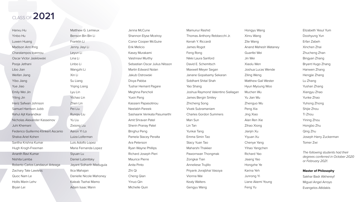Hanxu Hu Yinbo Hu Luwen Huang Madison Ann Ihrig Charalampos Ioannou Oscar Victor Jasklowski Pooja Jethani Libo Jian Weifan Jiang Yibo Jiang Yue Jiao Emily Wei Jin Yiting Jin Hariz Safwan Johnson Samuel Harrison Jubb Rahul Ajit Karandikar Nicholas Alexander Kasseinov Juhi Khemani Federico Guillermo Klinkert Ascanio Shalva Ariel Kohen Saritha Krishna Kumar Hugh Krogh-Freeman Ananth Ravi Kumar Nishita Lamba Roberto Carlos Landazuri Arteaga Zachary Tate Lawless Quoc Nam Le Hollis Marin Lehv Bryan Lei

Matthew G. Lemieux Benson Bin Bin Li Franklin Li Jenny Jiayi Li Leyun Li Lina Li Linbo Li Wangzhi Li Xin Li Su Liang Yiqing Liang Lyu Lin Yichao Lin Zhen Lin Pei Liu Runqiu Liu Yu Liu Zixiong Liu Aaron Yi Lo Luiza Loiferman Luis Adolfo Lopez Maria Fernanda Lopez Siyuan Lu Daniel Lubinitsky Jayant Sidharth Madugula Ilica Mahajan Danielle Nicole Mahoney Kaleab Tsehai Mamo Adam Isaac Mann

Jenna McCune Shannon Elyse Mcelroy Conor Cooper McGuire Erik Melicio Kasey Murakami Vaishnavi Murthy Sebastian Oscar Julius Nilsson Martin Edward Nolan Jakub Ostrowski Divya Pabba Tushar Hemant Pagare Meghna Pancholi Yuxin Pang Kassiani Papasotiriou Neelabh Pareek Sashaank Venkata Pasumarthi Amit Shravan Patel Sherin Pranay Patel Binghui Peng Pamela Stacey Peralta Ara Peterson Ryan Wayne Phillips Richard Joseph Pieri Maurice Pierre Anita Pinto Zhi Qi Cheng Qian Yinuo Qin Michelle Quin

| Mamunur Rashid                     | Hongyu Wang                 | Elizabeth Yesul Yum                                                         |
|------------------------------------|-----------------------------|-----------------------------------------------------------------------------|
| Thomas Anthony Rebbecchi Jr.       | Xinru Wang                  | Doohyung Yun                                                                |
| Kenah Y. Riccardi                  | Zile Wang                   | Erfan Zabeh                                                                 |
| James Rogot                        | <b>Anand Mahesh Wataney</b> | Xinchen Zhai                                                                |
| Feng Rong                          | Guanfei Wei                 | Zhucheng Zhan                                                               |
| Nikki Laura Sanford                | Jin Wei                     | Bingyan Zhang                                                               |
| David E. Schemitsch                | Xiaolu Wen                  | Bryant Hugo Zhang                                                           |
| Maxwell Meyer Segan                | Joshua Lucas Wende          | Hanwen Zhang                                                                |
| Janane Gopalsamy Sekaran           | <b>Ziling Weng</b>          | Hengjie Zhang                                                               |
| Siddhant Shital Shah               | <b>Matthew Gail Wester</b>  | Lu Zhang                                                                    |
| Yao Shang                          | Hyun Myoung Woo             | Yushan Zhang                                                                |
| Joshua Raymond Valentino Siallagan | Muchen Wu                   | Xiangyu Zhao                                                                |
| James Bergin Smiley                | Yu Jian Wu                  | Yunke Zhao                                                                  |
| <b>Zhicheng Song</b>               | Zhenguo Wu                  | Yuhong Zhong                                                                |
| <b>Vivek Subramaniam</b>           | Peng Xia                    | Shijie Zhou                                                                 |
| <b>Charles Gordon Summers</b>      | Jing Xiao                   | Ti Zhou                                                                     |
| Man Sun                            | Alan Ren Xie                | Yining Zhou                                                                 |
| Lin Tan                            | Zihao Xiong                 | Hongbo Zhu                                                                  |
| Yunkai Tang                        | Jianjin Xu                  | Qing Zhu                                                                    |
| Emma Simin Tao                     | Yiyuan Xu                   | Joseph Harry Zuckerman                                                      |
| Stacy Yuan Tao                     | Chenye Yang                 | Tomer Zwi                                                                   |
| Maharshi Thakker                   | Yihao Yangchen              |                                                                             |
| Pawornwan Thongmak                 | Richard Yao                 | The following students ha<br>degrees conferred in Octo<br>or February 2021. |
| Zongkai Tian                       | Jiaang Yao                  |                                                                             |
| Anneliese Trujillo                 | Hongzhe Ye                  |                                                                             |
| Priyank Jivrajbhai Vasoya          | Karina Yeh                  | <b>Master of Philosophy</b>                                                 |
| Vionna Wai                         | Junrong Yi                  | Sakhar Badr Alkhereyf                                                       |
| <b>Kealy Walters</b>               | Liane Akemi Young           | Miguel Angel Arroyo                                                         |
| Gengyu Wang                        | Feng Yu                     | Evangelos Atlidakis                                                         |

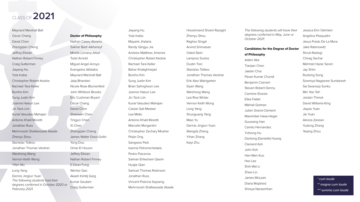Maynard Marshall Ball Oscar Chang David Chen Zhengqian Cheng Jeffrey Elloian Nathan Robert Finney Craig Gutterman Jiayang Hu Yuta Inaba Christopher Robert Kedzie Rachael Tara Keller Bumho Kim Sung Justin Kim Joanne Haeun Lee Jin Tack Lim Kunal Vasudeo Mahajan Antonio Khalil Moretti Jonathan Russ Mehrnoosh Shafieezade Abade Zhenyu Shou Stanislav Tsitkov Jonathan Thomas Vardner Weizhong Wang Vernon Keith Wong Yifan Wu Long Yang Dennis Jinglun Yuan *The following students had their degrees conferred in October 2020 or February 2021.*

#### **Doctor of Philosophy**

Nathan Casey Abrams Sakhar Badr Alkhereyf Mirella Lorrainy Altoé Todd Arnold Miguel Angel Arroyo Evangelos Atlidakis Maynard Marshall Ball Jalaj Bhandari Nicole Rose Blumenfeld John Whitlock Brooks Eric Cushman Bryant Oscar Chang David Chen Shaowen Chen Tingjun Chen Xi Chen Zhengqian Cheng James Walter Doss-Gollin Yong Dou Omar El Housni Jeffrey Elloian Nathan Robert Finney E-Dean Fung Wenbo Gao Akash Kshitij Garg Kumar Goutam Craig Gutterman

Jiayang Hu Yuta Inaba Mayank Jhalaria Randy Qingyu Jia Andrew Matthew Jimenez Christopher Robert Kedzie Rachael Tara Keller Bahar Khalighinejad Bumho Kim Sung Justin Kim Brian Sahnghoon Lee Joanne Haeun Lee Jin Tack Lim Kunal Vasudeo Mahajan Cassie Gail Meeker Lea Melki Antonio Khalil Moretti Marcello Morgantini Christopher Zachary Mosher Peijie Ong Sangwoo Park Ioannis Petromichelakis Pedro Piacenza Salman Ehtesham Qasim Huajie Qian Samuel Thomas Robinson Jonathan Russ Vincent Policina Sayseng Mehrnoosh Shafieezade Abade

Hooshmand Shokri Razaghi Zhenyu Shou Raghav Singal Arvind Srinivasan Oded Stein Lampros Svolos Dustin Tran Stanislav Tsitkov Jonathan Thomas Vardner Erik Alex Waingarten Siyan Wang Weizhong Wang Lea Riva Winter Vernon Keith Wong Long Yang Shuoguang Yang Miao Yu Dennis Jinglun Yuan Wangda Zhang Yihan Zhang Kaiyi Zhu

*The following students will have their degrees conferred in May, June or October 2021.*

## **Candidates for the Degree of Doctor**

**of Philosophy**  Adam Atia Tianjian Chen Jaebin Choi Pavan Kumar Chundi Benjamin Czerwin Steven Robert Denny Carmine Elvezio Elika Fallah Mikhail Golman Julien Grand-Clement Maximilian Haas-Heger Guoxiang Han Camilo Hernandez Yizhong Hu Dantong (Danielle) Huang Clement Koh John Koh Han-Wen Kuo Hwi Lee Shih-Wei Li Zhexi Lin James McLean Diana Mojahed Shreya Narasimhan

Jessica Erin Oehrlein Angelica Pasqualini Jesus Prado De La Mora Jake Rabinowitz Shruti Rastogi Chirag Sachar Mehmet Hazar Seren Jay Shim Ruobing Song Sowmya Nagasree Sundaresh Sai Swaroop Sunku Min Yee Teh Jordan Thimot David Williams-King Jiayao Yuan Jie Yuan Alireza Zareian Yudong Zhang Yeqing Zhou

> *\* cum laude \*\* magna cum laude \*\*\* summa cum laude*